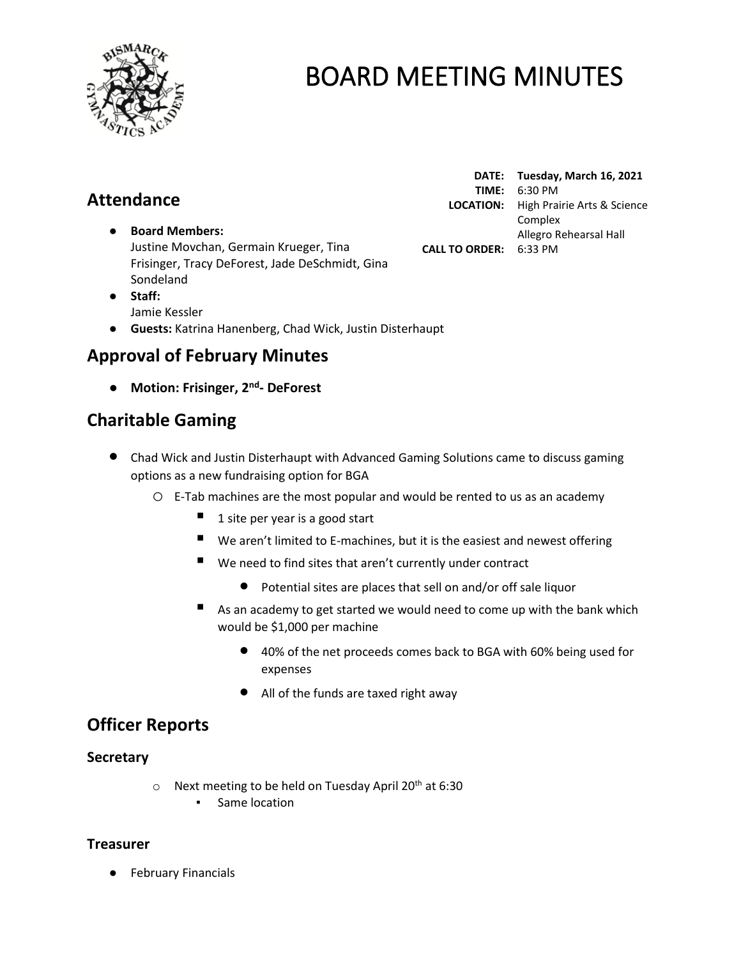

# **Attendance**

- **Board Members:** Justine Movchan, Germain Krueger, Tina Frisinger, Tracy DeForest, Jade DeSchmidt, Gina Sondeland
- **Staff:**  Jamie Kessler
- **Guests:** Katrina Hanenberg, Chad Wick, Justin Disterhaupt

## **Approval of February Minutes**

● **Motion: Frisinger, 2 nd - DeForest**

## **Charitable Gaming**

- Chad Wick and Justin Disterhaupt with Advanced Gaming Solutions came to discuss gaming options as a new fundraising option for BGA
	- o E-Tab machines are the most popular and would be rented to us as an academy
		- $\blacksquare$  1 site per year is a good start
		- $\blacksquare$  We aren't limited to E-machines, but it is the easiest and newest offering
		- $\blacksquare$  We need to find sites that aren't currently under contract
			- Potential sites are places that sell on and/or off sale liquor
		- $\blacksquare$  As an academy to get started we would need to come up with the bank which would be \$1,000 per machine
			- 40% of the net proceeds comes back to BGA with 60% being used for expenses
			- All of the funds are taxed right away

## **Officer Reports**

### **Secretary**

- $\circ$  Next meeting to be held on Tuesday April 20<sup>th</sup> at 6:30
	- Same location

### **Treasurer**

● February Financials

**DATE: Tuesday, March 16, 2021 TIME:** 6:30 PM **LOCATION:** High Prairie Arts & Science Complex Allegro Rehearsal Hall **CALL TO ORDER:** 6:33 PM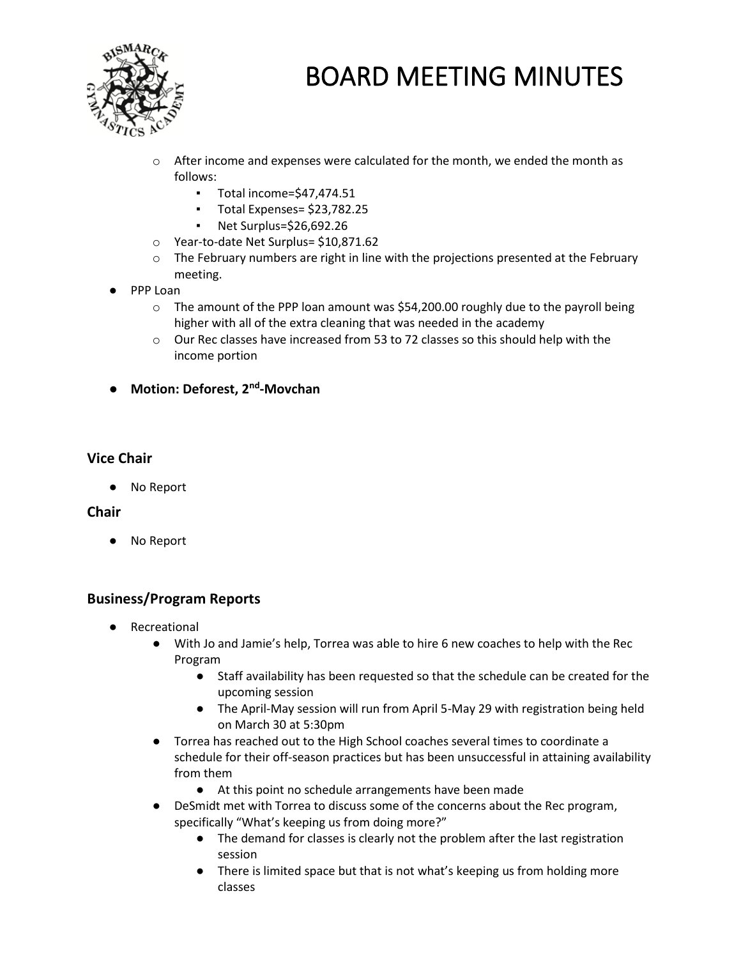

- $\circ$  After income and expenses were calculated for the month, we ended the month as follows:
	- Total income=\$47,474.51
	- Total Expenses= \$23,782.25
	- Net Surplus=\$26,692.26
- o Year-to-date Net Surplus= \$10,871.62
- $\circ$  The February numbers are right in line with the projections presented at the February meeting.
- PPP Loan
	- $\circ$  The amount of the PPP loan amount was \$54,200.00 roughly due to the payroll being higher with all of the extra cleaning that was needed in the academy
	- o Our Rec classes have increased from 53 to 72 classes so this should help with the income portion
- **Motion: Deforest, 2nd -Movchan**

#### **Vice Chair**

● No Report

#### **Chair**

No Report

### **Business/Program Reports**

- Recreational
	- With Jo and Jamie's help, Torrea was able to hire 6 new coaches to help with the Rec Program
		- Staff availability has been requested so that the schedule can be created for the upcoming session
		- The April-May session will run from April 5-May 29 with registration being held on March 30 at 5:30pm
	- Torrea has reached out to the High School coaches several times to coordinate a schedule for their off-season practices but has been unsuccessful in attaining availability from them
		- At this point no schedule arrangements have been made
	- DeSmidt met with Torrea to discuss some of the concerns about the Rec program, specifically "What's keeping us from doing more?"
		- The demand for classes is clearly not the problem after the last registration session
		- There is limited space but that is not what's keeping us from holding more classes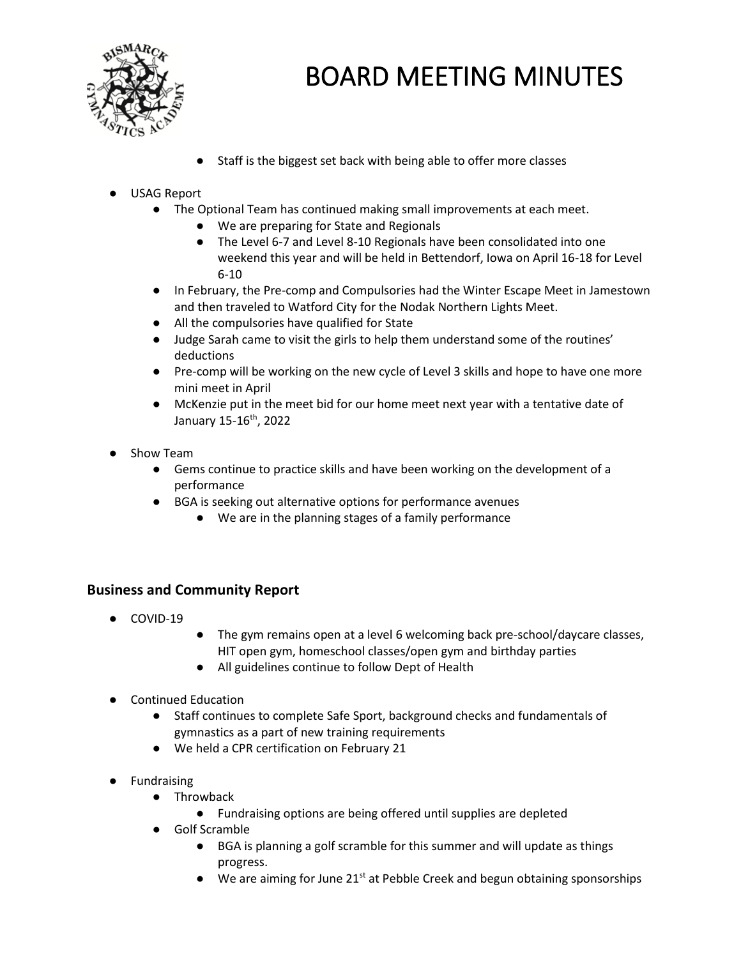

● Staff is the biggest set back with being able to offer more classes

### USAG Report

- The Optional Team has continued making small improvements at each meet.
	- We are preparing for State and Regionals
	- The Level 6-7 and Level 8-10 Regionals have been consolidated into one weekend this year and will be held in Bettendorf, Iowa on April 16-18 for Level 6-10
- In February, the Pre-comp and Compulsories had the Winter Escape Meet in Jamestown and then traveled to Watford City for the Nodak Northern Lights Meet.
- All the compulsories have qualified for State
- Judge Sarah came to visit the girls to help them understand some of the routines' deductions
- Pre-comp will be working on the new cycle of Level 3 skills and hope to have one more mini meet in April
- McKenzie put in the meet bid for our home meet next year with a tentative date of January 15-16<sup>th</sup>, 2022
- Show Team
	- Gems continue to practice skills and have been working on the development of a performance
	- BGA is seeking out alternative options for performance avenues
		- We are in the planning stages of a family performance

#### **Business and Community Report**

- COVID-19
- The gym remains open at a level 6 welcoming back pre-school/daycare classes, HIT open gym, homeschool classes/open gym and birthday parties
- All guidelines continue to follow Dept of Health
- **Continued Education** 
	- Staff continues to complete Safe Sport, background checks and fundamentals of gymnastics as a part of new training requirements
	- We held a CPR certification on February 21
- **Fundraising** 
	- Throwback
		- Fundraising options are being offered until supplies are depleted
	- Golf Scramble
		- BGA is planning a golf scramble for this summer and will update as things progress.
		- We are aiming for June 21<sup>st</sup> at Pebble Creek and begun obtaining sponsorships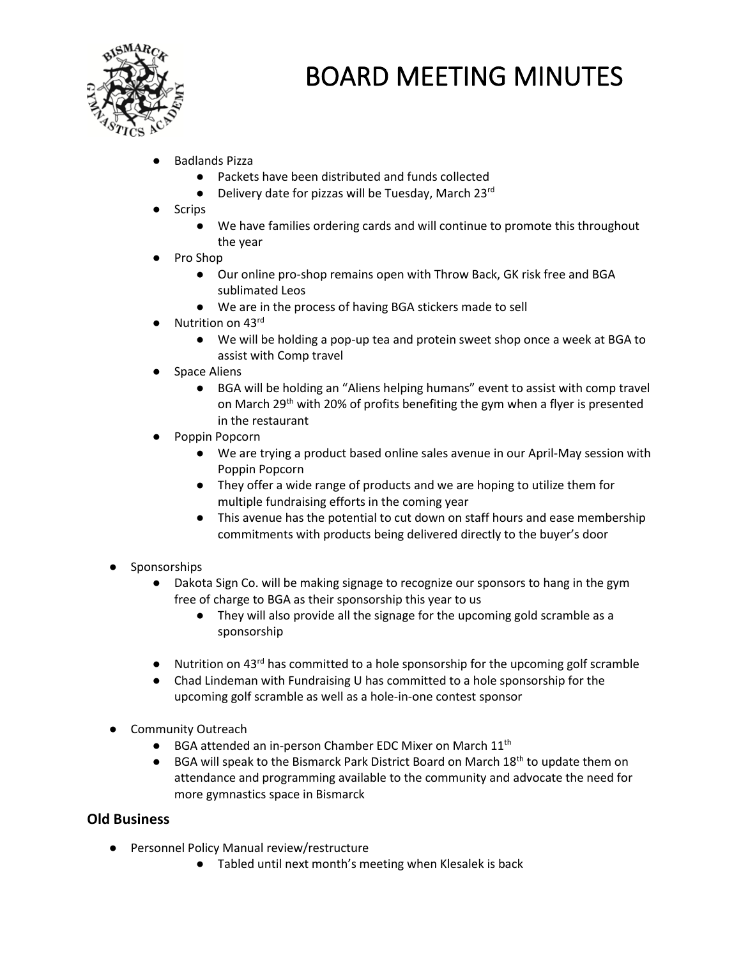

- **Badlands Pizza** 
	- Packets have been distributed and funds collected
	- Delivery date for pizzas will be Tuesday, March 23rd
- **Scrips** 
	- We have families ordering cards and will continue to promote this throughout the year
- Pro Shop
	- Our online pro-shop remains open with Throw Back, GK risk free and BGA sublimated Leos
	- We are in the process of having BGA stickers made to sell
- Nutrition on 43rd
	- We will be holding a pop-up tea and protein sweet shop once a week at BGA to assist with Comp travel
- **Space Aliens** 
	- BGA will be holding an "Aliens helping humans" event to assist with comp travel on March 29<sup>th</sup> with 20% of profits benefiting the gym when a flyer is presented in the restaurant
- Poppin Popcorn
	- We are trying a product based online sales avenue in our April-May session with Poppin Popcorn
	- They offer a wide range of products and we are hoping to utilize them for multiple fundraising efforts in the coming year
	- This avenue has the potential to cut down on staff hours and ease membership commitments with products being delivered directly to the buyer's door
- Sponsorships
	- Dakota Sign Co. will be making signage to recognize our sponsors to hang in the gym free of charge to BGA as their sponsorship this year to us
		- They will also provide all the signage for the upcoming gold scramble as a sponsorship
	- $\bullet$  Nutrition on 43<sup>rd</sup> has committed to a hole sponsorship for the upcoming golf scramble
	- Chad Lindeman with Fundraising U has committed to a hole sponsorship for the upcoming golf scramble as well as a hole-in-one contest sponsor
- **Community Outreach** 
	- BGA attended an in-person Chamber EDC Mixer on March 11<sup>th</sup>
	- $\bullet$  BGA will speak to the Bismarck Park District Board on March 18<sup>th</sup> to update them on attendance and programming available to the community and advocate the need for more gymnastics space in Bismarck

### **Old Business**

- Personnel Policy Manual review/restructure
	- Tabled until next month's meeting when Klesalek is back